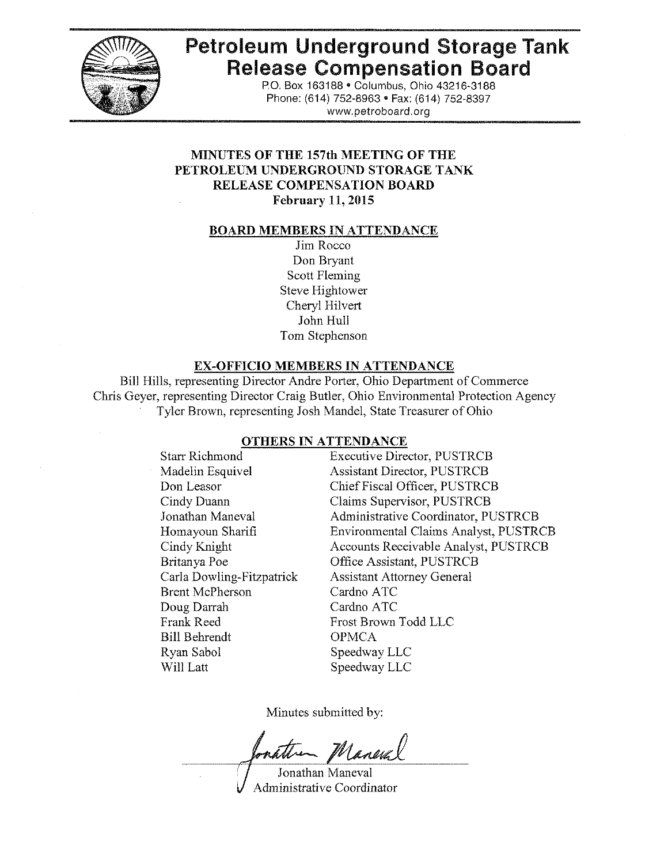

# **Petroleum Underground Storage Tank Release Compensation Board**

P.O. Box 163188· Columbus, Ohio 43216-3188 Phone: (614) 752-8963 • Fax: (614) 752-8397 www.petroboard.org

# **MINUTES OF THE 157th MEETING OF THE PETROLEUM UNDERGROUND STORAGE TANK RELEASE COMPENSATION BOARD February 11, 2015**

#### **BOARD MEMBERS IN ATTENDANCE**

Jim Rocco Don Bryant Scott Fleming Steve Hightower Cheryl Hilvert John Hull Tom Stephenson

#### **EX-OFFICIO MEMBERS IN ATTENDANCE**

Bill Hills, representing Director Andre Porter, Ohio Department of Commerce Chris Geyer, representing Director Craig Butler, Ohio Environmental Protection Agency Tyler Brown, representing Josh Mandel, State Treasurer of Ohio

#### **OTHERS IN ATTENDANCE**

Starr Richmond Madelin Esquivel Don Leasor Cindy Duann Jonathan Maneval Homayoun Sharifi Cindy Knight Britanya Poe Carla Dowling-Fitzpatrick Brent McPherson Doug Darrah Frank Reed Bill Behrendt Ryan Sabol Will Latt

**Executive Director, PUSTRCB Assistant Director, PUSTRCB** Chief Fiscal Officer, PUSTRCB Claims Supervisor, PUSTRCB Administrative Coordinator, PUSTRCB Environmental Claims Analyst, PUSTRCB Accounts Receivable Analyst, PUSTRCB Office Assistant, PUSTRCB **Assistant Attorney General** Cardno ATC Cardno ATC Frost Brown Todd LLC **OPMCA** Speedway LLC Speedway LLC

Minutes submitted by:

natter Maneval

Jonathan Maneval Administrative Coordinator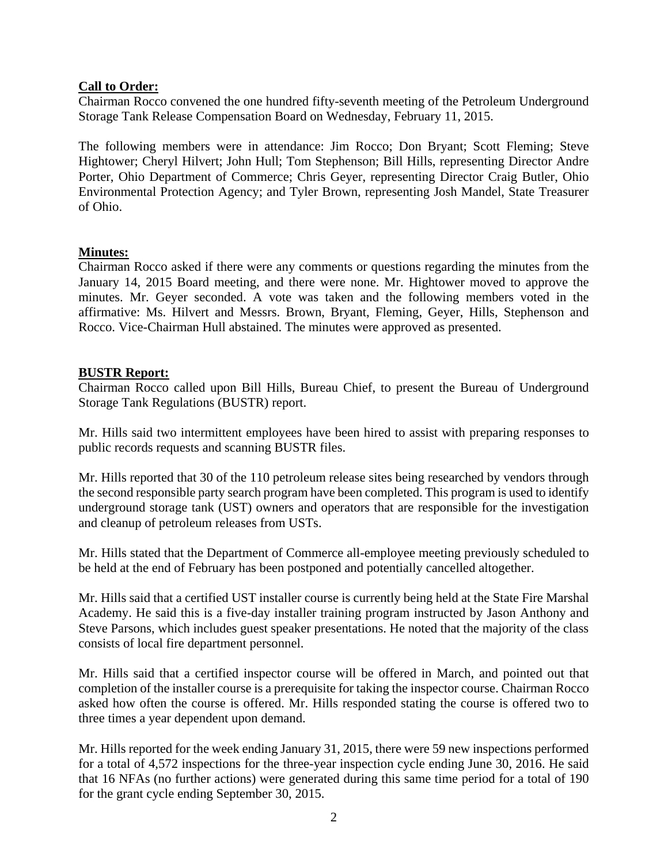# **Call to Order:**

Chairman Rocco convened the one hundred fifty-seventh meeting of the Petroleum Underground Storage Tank Release Compensation Board on Wednesday, February 11, 2015.

The following members were in attendance: Jim Rocco; Don Bryant; Scott Fleming; Steve Hightower; Cheryl Hilvert; John Hull; Tom Stephenson; Bill Hills, representing Director Andre Porter, Ohio Department of Commerce; Chris Geyer, representing Director Craig Butler, Ohio Environmental Protection Agency; and Tyler Brown, representing Josh Mandel, State Treasurer of Ohio.

#### **Minutes:**

Chairman Rocco asked if there were any comments or questions regarding the minutes from the January 14, 2015 Board meeting, and there were none. Mr. Hightower moved to approve the minutes. Mr. Geyer seconded. A vote was taken and the following members voted in the affirmative: Ms. Hilvert and Messrs. Brown, Bryant, Fleming, Geyer, Hills, Stephenson and Rocco. Vice-Chairman Hull abstained. The minutes were approved as presented.

#### **BUSTR Report:**

Chairman Rocco called upon Bill Hills, Bureau Chief, to present the Bureau of Underground Storage Tank Regulations (BUSTR) report.

Mr. Hills said two intermittent employees have been hired to assist with preparing responses to public records requests and scanning BUSTR files.

Mr. Hills reported that 30 of the 110 petroleum release sites being researched by vendors through the second responsible party search program have been completed. This program is used to identify underground storage tank (UST) owners and operators that are responsible for the investigation and cleanup of petroleum releases from USTs.

Mr. Hills stated that the Department of Commerce all-employee meeting previously scheduled to be held at the end of February has been postponed and potentially cancelled altogether.

Mr. Hills said that a certified UST installer course is currently being held at the State Fire Marshal Academy. He said this is a five-day installer training program instructed by Jason Anthony and Steve Parsons, which includes guest speaker presentations. He noted that the majority of the class consists of local fire department personnel.

Mr. Hills said that a certified inspector course will be offered in March, and pointed out that completion of the installer course is a prerequisite for taking the inspector course. Chairman Rocco asked how often the course is offered. Mr. Hills responded stating the course is offered two to three times a year dependent upon demand.

Mr. Hills reported for the week ending January 31, 2015, there were 59 new inspections performed for a total of 4,572 inspections for the three-year inspection cycle ending June 30, 2016. He said that 16 NFAs (no further actions) were generated during this same time period for a total of 190 for the grant cycle ending September 30, 2015.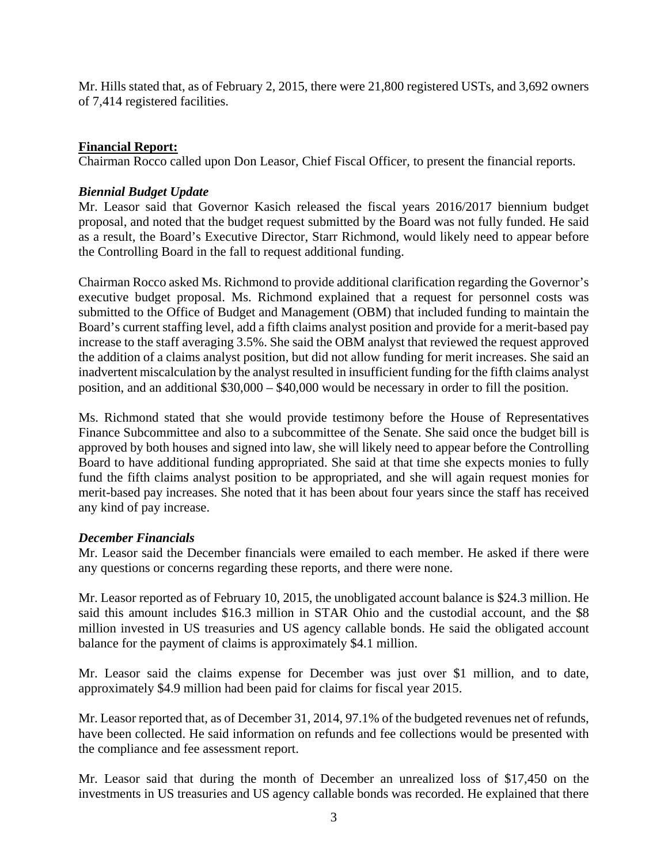Mr. Hills stated that, as of February 2, 2015, there were 21,800 registered USTs, and 3,692 owners of 7,414 registered facilities.

# **Financial Report:**

Chairman Rocco called upon Don Leasor, Chief Fiscal Officer, to present the financial reports.

#### *Biennial Budget Update*

Mr. Leasor said that Governor Kasich released the fiscal years 2016/2017 biennium budget proposal, and noted that the budget request submitted by the Board was not fully funded. He said as a result, the Board's Executive Director, Starr Richmond, would likely need to appear before the Controlling Board in the fall to request additional funding.

Chairman Rocco asked Ms. Richmond to provide additional clarification regarding the Governor's executive budget proposal. Ms. Richmond explained that a request for personnel costs was submitted to the Office of Budget and Management (OBM) that included funding to maintain the Board's current staffing level, add a fifth claims analyst position and provide for a merit-based pay increase to the staff averaging 3.5%. She said the OBM analyst that reviewed the request approved the addition of a claims analyst position, but did not allow funding for merit increases. She said an inadvertent miscalculation by the analyst resulted in insufficient funding for the fifth claims analyst position, and an additional \$30,000 – \$40,000 would be necessary in order to fill the position.

Ms. Richmond stated that she would provide testimony before the House of Representatives Finance Subcommittee and also to a subcommittee of the Senate. She said once the budget bill is approved by both houses and signed into law, she will likely need to appear before the Controlling Board to have additional funding appropriated. She said at that time she expects monies to fully fund the fifth claims analyst position to be appropriated, and she will again request monies for merit-based pay increases. She noted that it has been about four years since the staff has received any kind of pay increase.

#### *December Financials*

Mr. Leasor said the December financials were emailed to each member. He asked if there were any questions or concerns regarding these reports, and there were none.

Mr. Leasor reported as of February 10, 2015, the unobligated account balance is \$24.3 million. He said this amount includes \$16.3 million in STAR Ohio and the custodial account, and the \$8 million invested in US treasuries and US agency callable bonds. He said the obligated account balance for the payment of claims is approximately \$4.1 million.

Mr. Leasor said the claims expense for December was just over \$1 million, and to date, approximately \$4.9 million had been paid for claims for fiscal year 2015.

Mr. Leasor reported that, as of December 31, 2014, 97.1% of the budgeted revenues net of refunds, have been collected. He said information on refunds and fee collections would be presented with the compliance and fee assessment report.

Mr. Leasor said that during the month of December an unrealized loss of \$17,450 on the investments in US treasuries and US agency callable bonds was recorded. He explained that there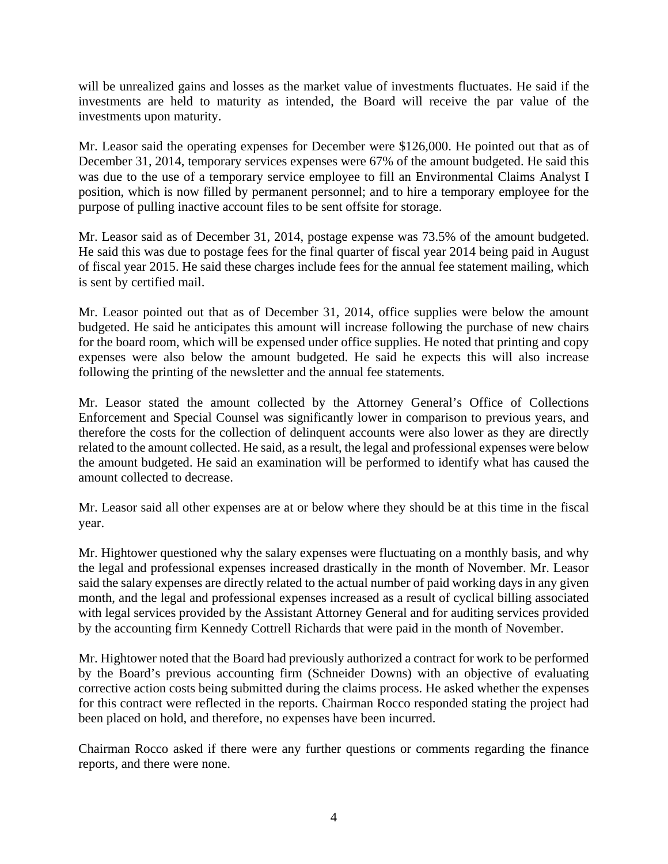will be unrealized gains and losses as the market value of investments fluctuates. He said if the investments are held to maturity as intended, the Board will receive the par value of the investments upon maturity.

Mr. Leasor said the operating expenses for December were \$126,000. He pointed out that as of December 31, 2014, temporary services expenses were 67% of the amount budgeted. He said this was due to the use of a temporary service employee to fill an Environmental Claims Analyst I position, which is now filled by permanent personnel; and to hire a temporary employee for the purpose of pulling inactive account files to be sent offsite for storage.

Mr. Leasor said as of December 31, 2014, postage expense was 73.5% of the amount budgeted. He said this was due to postage fees for the final quarter of fiscal year 2014 being paid in August of fiscal year 2015. He said these charges include fees for the annual fee statement mailing, which is sent by certified mail.

Mr. Leasor pointed out that as of December 31, 2014, office supplies were below the amount budgeted. He said he anticipates this amount will increase following the purchase of new chairs for the board room, which will be expensed under office supplies. He noted that printing and copy expenses were also below the amount budgeted. He said he expects this will also increase following the printing of the newsletter and the annual fee statements.

Mr. Leasor stated the amount collected by the Attorney General's Office of Collections Enforcement and Special Counsel was significantly lower in comparison to previous years, and therefore the costs for the collection of delinquent accounts were also lower as they are directly related to the amount collected. He said, as a result, the legal and professional expenses were below the amount budgeted. He said an examination will be performed to identify what has caused the amount collected to decrease.

Mr. Leasor said all other expenses are at or below where they should be at this time in the fiscal year.

Mr. Hightower questioned why the salary expenses were fluctuating on a monthly basis, and why the legal and professional expenses increased drastically in the month of November. Mr. Leasor said the salary expenses are directly related to the actual number of paid working days in any given month, and the legal and professional expenses increased as a result of cyclical billing associated with legal services provided by the Assistant Attorney General and for auditing services provided by the accounting firm Kennedy Cottrell Richards that were paid in the month of November.

Mr. Hightower noted that the Board had previously authorized a contract for work to be performed by the Board's previous accounting firm (Schneider Downs) with an objective of evaluating corrective action costs being submitted during the claims process. He asked whether the expenses for this contract were reflected in the reports. Chairman Rocco responded stating the project had been placed on hold, and therefore, no expenses have been incurred.

Chairman Rocco asked if there were any further questions or comments regarding the finance reports, and there were none.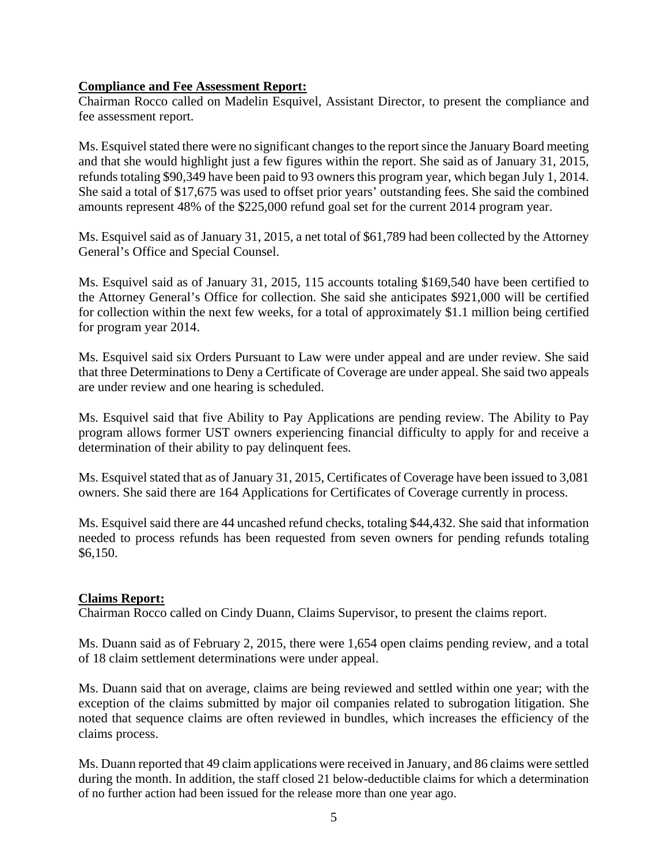#### **Compliance and Fee Assessment Report:**

Chairman Rocco called on Madelin Esquivel, Assistant Director, to present the compliance and fee assessment report.

Ms. Esquivel stated there were no significant changes to the report since the January Board meeting and that she would highlight just a few figures within the report. She said as of January 31, 2015, refunds totaling \$90,349 have been paid to 93 owners this program year, which began July 1, 2014. She said a total of \$17,675 was used to offset prior years' outstanding fees. She said the combined amounts represent 48% of the \$225,000 refund goal set for the current 2014 program year.

Ms. Esquivel said as of January 31, 2015, a net total of \$61,789 had been collected by the Attorney General's Office and Special Counsel.

Ms. Esquivel said as of January 31, 2015, 115 accounts totaling \$169,540 have been certified to the Attorney General's Office for collection. She said she anticipates \$921,000 will be certified for collection within the next few weeks, for a total of approximately \$1.1 million being certified for program year 2014.

Ms. Esquivel said six Orders Pursuant to Law were under appeal and are under review. She said that three Determinations to Deny a Certificate of Coverage are under appeal. She said two appeals are under review and one hearing is scheduled.

Ms. Esquivel said that five Ability to Pay Applications are pending review. The Ability to Pay program allows former UST owners experiencing financial difficulty to apply for and receive a determination of their ability to pay delinquent fees.

Ms. Esquivel stated that as of January 31, 2015, Certificates of Coverage have been issued to 3,081 owners. She said there are 164 Applications for Certificates of Coverage currently in process.

Ms. Esquivel said there are 44 uncashed refund checks, totaling \$44,432. She said that information needed to process refunds has been requested from seven owners for pending refunds totaling \$6,150.

# **Claims Report:**

Chairman Rocco called on Cindy Duann, Claims Supervisor, to present the claims report.

Ms. Duann said as of February 2, 2015, there were 1,654 open claims pending review, and a total of 18 claim settlement determinations were under appeal.

Ms. Duann said that on average, claims are being reviewed and settled within one year; with the exception of the claims submitted by major oil companies related to subrogation litigation. She noted that sequence claims are often reviewed in bundles, which increases the efficiency of the claims process.

Ms. Duann reported that 49 claim applications were received in January, and 86 claims were settled during the month. In addition, the staff closed 21 below-deductible claims for which a determination of no further action had been issued for the release more than one year ago.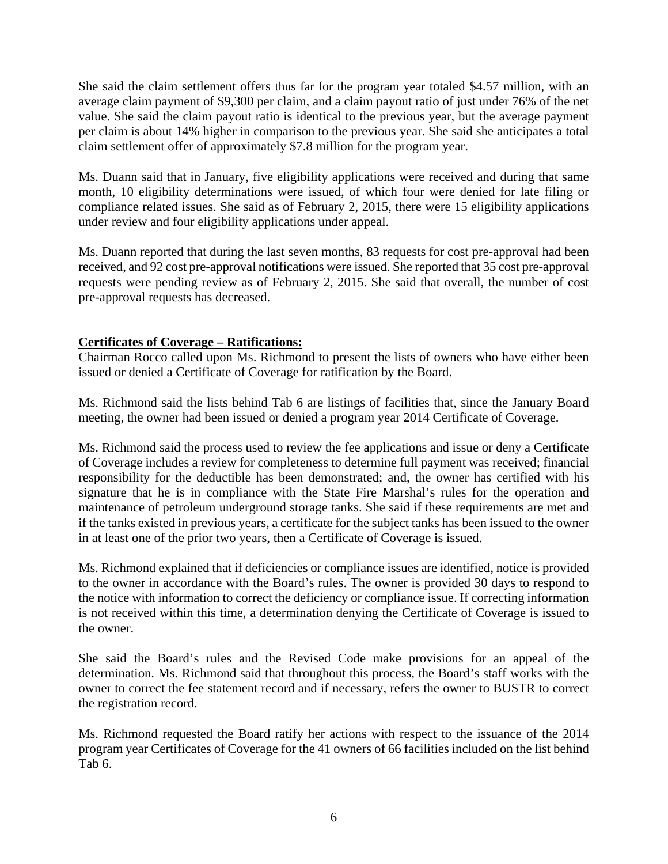She said the claim settlement offers thus far for the program year totaled \$4.57 million, with an average claim payment of \$9,300 per claim, and a claim payout ratio of just under 76% of the net value. She said the claim payout ratio is identical to the previous year, but the average payment per claim is about 14% higher in comparison to the previous year. She said she anticipates a total claim settlement offer of approximately \$7.8 million for the program year.

Ms. Duann said that in January, five eligibility applications were received and during that same month, 10 eligibility determinations were issued, of which four were denied for late filing or compliance related issues. She said as of February 2, 2015, there were 15 eligibility applications under review and four eligibility applications under appeal.

Ms. Duann reported that during the last seven months, 83 requests for cost pre-approval had been received, and 92 cost pre-approval notifications were issued. She reported that 35 cost pre-approval requests were pending review as of February 2, 2015. She said that overall, the number of cost pre-approval requests has decreased.

# **Certificates of Coverage – Ratifications:**

Chairman Rocco called upon Ms. Richmond to present the lists of owners who have either been issued or denied a Certificate of Coverage for ratification by the Board.

Ms. Richmond said the lists behind Tab 6 are listings of facilities that, since the January Board meeting, the owner had been issued or denied a program year 2014 Certificate of Coverage.

Ms. Richmond said the process used to review the fee applications and issue or deny a Certificate of Coverage includes a review for completeness to determine full payment was received; financial responsibility for the deductible has been demonstrated; and, the owner has certified with his signature that he is in compliance with the State Fire Marshal's rules for the operation and maintenance of petroleum underground storage tanks. She said if these requirements are met and if the tanks existed in previous years, a certificate for the subject tanks has been issued to the owner in at least one of the prior two years, then a Certificate of Coverage is issued.

Ms. Richmond explained that if deficiencies or compliance issues are identified, notice is provided to the owner in accordance with the Board's rules. The owner is provided 30 days to respond to the notice with information to correct the deficiency or compliance issue. If correcting information is not received within this time, a determination denying the Certificate of Coverage is issued to the owner.

She said the Board's rules and the Revised Code make provisions for an appeal of the determination. Ms. Richmond said that throughout this process, the Board's staff works with the owner to correct the fee statement record and if necessary, refers the owner to BUSTR to correct the registration record.

Ms. Richmond requested the Board ratify her actions with respect to the issuance of the 2014 program year Certificates of Coverage for the 41 owners of 66 facilities included on the list behind Tab 6.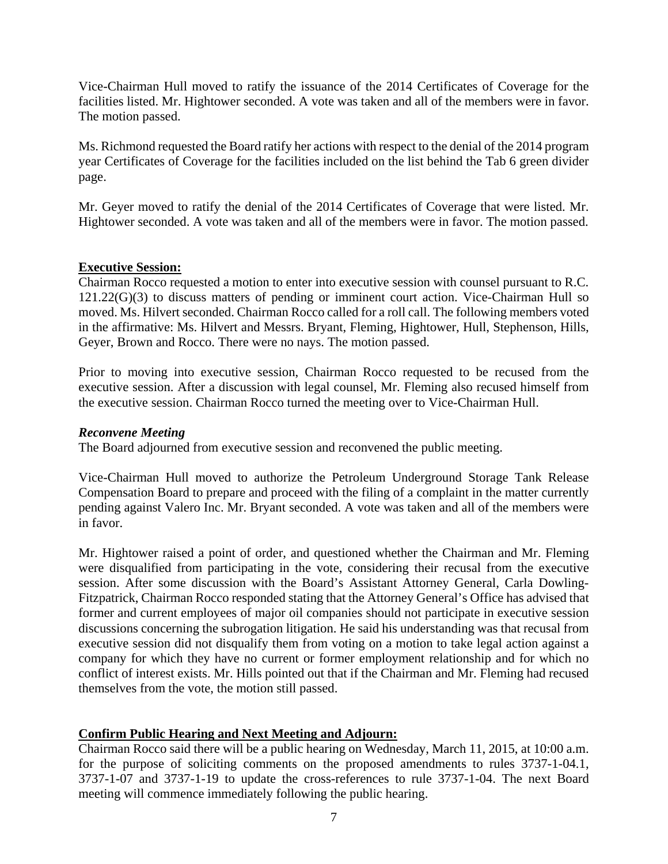Vice-Chairman Hull moved to ratify the issuance of the 2014 Certificates of Coverage for the facilities listed. Mr. Hightower seconded. A vote was taken and all of the members were in favor. The motion passed.

Ms. Richmond requested the Board ratify her actions with respect to the denial of the 2014 program year Certificates of Coverage for the facilities included on the list behind the Tab 6 green divider page.

Mr. Geyer moved to ratify the denial of the 2014 Certificates of Coverage that were listed. Mr. Hightower seconded. A vote was taken and all of the members were in favor. The motion passed.

#### **Executive Session:**

Chairman Rocco requested a motion to enter into executive session with counsel pursuant to R.C. 121.22(G)(3) to discuss matters of pending or imminent court action. Vice-Chairman Hull so moved. Ms. Hilvert seconded. Chairman Rocco called for a roll call. The following members voted in the affirmative: Ms. Hilvert and Messrs. Bryant, Fleming, Hightower, Hull, Stephenson, Hills, Geyer, Brown and Rocco. There were no nays. The motion passed.

Prior to moving into executive session, Chairman Rocco requested to be recused from the executive session. After a discussion with legal counsel, Mr. Fleming also recused himself from the executive session. Chairman Rocco turned the meeting over to Vice-Chairman Hull.

#### *Reconvene Meeting*

The Board adjourned from executive session and reconvened the public meeting.

Vice-Chairman Hull moved to authorize the Petroleum Underground Storage Tank Release Compensation Board to prepare and proceed with the filing of a complaint in the matter currently pending against Valero Inc. Mr. Bryant seconded. A vote was taken and all of the members were in favor.

Mr. Hightower raised a point of order, and questioned whether the Chairman and Mr. Fleming were disqualified from participating in the vote, considering their recusal from the executive session. After some discussion with the Board's Assistant Attorney General, Carla Dowling-Fitzpatrick, Chairman Rocco responded stating that the Attorney General's Office has advised that former and current employees of major oil companies should not participate in executive session discussions concerning the subrogation litigation. He said his understanding was that recusal from executive session did not disqualify them from voting on a motion to take legal action against a company for which they have no current or former employment relationship and for which no conflict of interest exists. Mr. Hills pointed out that if the Chairman and Mr. Fleming had recused themselves from the vote, the motion still passed.

#### **Confirm Public Hearing and Next Meeting and Adjourn:**

Chairman Rocco said there will be a public hearing on Wednesday, March 11, 2015, at 10:00 a.m. for the purpose of soliciting comments on the proposed amendments to rules 3737-1-04.1, 3737-1-07 and 3737-1-19 to update the cross-references to rule 3737-1-04. The next Board meeting will commence immediately following the public hearing.